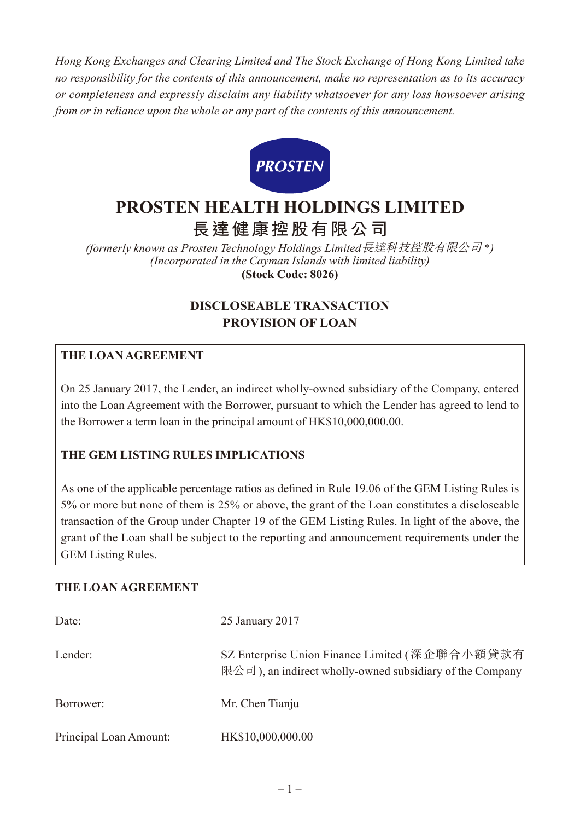*Hong Kong Exchanges and Clearing Limited and The Stock Exchange of Hong Kong Limited take no responsibility for the contents of this announcement, make no representation as to its accuracy or completeness and expressly disclaim any liability whatsoever for any loss howsoever arising from or in reliance upon the whole or any part of the contents of this announcement.*



# **PROSTEN HEALTH HOLDINGS LIMITED 長達健康控股有限公司**

*(formerly known as Prosten Technology Holdings Limited*長達科技控股有限公司 \**) (Incorporated in the Cayman Islands with limited liability)* **(Stock Code: 8026)**

# **DISCLOSEABLE TRANSACTION PROVISION OF LOAN**

# **THE LOAN AGREEMENT**

On 25 January 2017, the Lender, an indirect wholly-owned subsidiary of the Company, entered into the Loan Agreement with the Borrower, pursuant to which the Lender has agreed to lend to the Borrower a term loan in the principal amount of HK\$10,000,000.00.

### **THE GEM LISTING RULES IMPLICATIONS**

As one of the applicable percentage ratios as defined in Rule 19.06 of the GEM Listing Rules is 5% or more but none of them is 25% or above, the grant of the Loan constitutes a discloseable transaction of the Group under Chapter 19 of the GEM Listing Rules. In light of the above, the grant of the Loan shall be subject to the reporting and announcement requirements under the GEM Listing Rules.

#### **THE LOAN AGREEMENT**

| Date:                  | 25 January 2017                                                                                            |
|------------------------|------------------------------------------------------------------------------------------------------------|
| Lender:                | SZ Enterprise Union Finance Limited (深企聯合小額貸款有<br>限公司), an indirect wholly-owned subsidiary of the Company |
| Borrower:              | Mr. Chen Tianju                                                                                            |
| Principal Loan Amount: | HK\$10,000,000.00                                                                                          |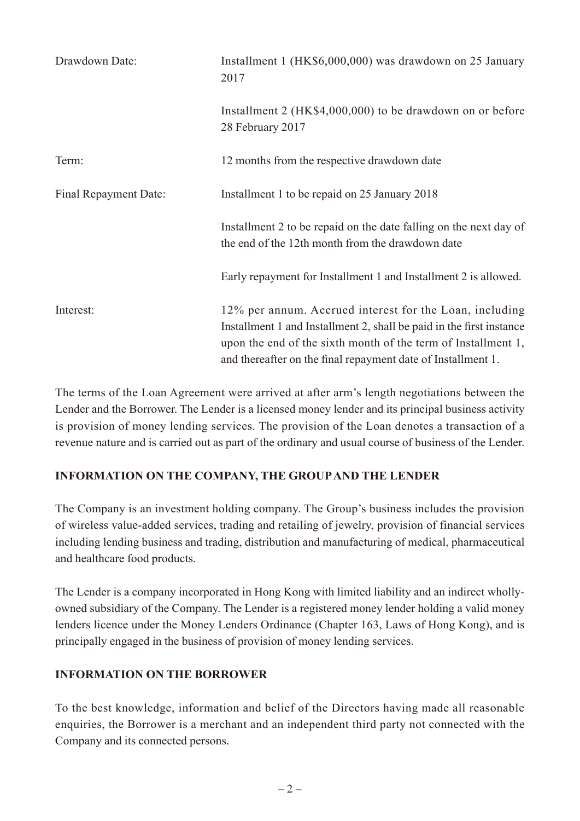| Drawdown Date:        | Installment 1 (HK\$6,000,000) was drawdown on 25 January<br>2017                                                                                                                                                                                                 |
|-----------------------|------------------------------------------------------------------------------------------------------------------------------------------------------------------------------------------------------------------------------------------------------------------|
|                       | Installment 2 (HK\$4,000,000) to be drawdown on or before<br>28 February 2017                                                                                                                                                                                    |
| Term:                 | 12 months from the respective drawdown date                                                                                                                                                                                                                      |
| Final Repayment Date: | Installment 1 to be repaid on 25 January 2018                                                                                                                                                                                                                    |
|                       | Installment 2 to be repaid on the date falling on the next day of<br>the end of the 12th month from the drawdown date                                                                                                                                            |
|                       | Early repayment for Installment 1 and Installment 2 is allowed.                                                                                                                                                                                                  |
| Interest:             | 12% per annum. Accrued interest for the Loan, including<br>Installment 1 and Installment 2, shall be paid in the first instance<br>upon the end of the sixth month of the term of Installment 1,<br>and thereafter on the final repayment date of Installment 1. |

The terms of the Loan Agreement were arrived at after arm's length negotiations between the Lender and the Borrower. The Lender is a licensed money lender and its principal business activity is provision of money lending services. The provision of the Loan denotes a transaction of a revenue nature and is carried out as part of the ordinary and usual course of business of the Lender.

# **INFORMATION ON THE COMPANY, THE GROUP AND THE LENDER**

The Company is an investment holding company. The Group's business includes the provision of wireless value-added services, trading and retailing of jewelry, provision of financial services including lending business and trading, distribution and manufacturing of medical, pharmaceutical and healthcare food products.

The Lender is a company incorporated in Hong Kong with limited liability and an indirect whollyowned subsidiary of the Company. The Lender is a registered money lender holding a valid money lenders licence under the Money Lenders Ordinance (Chapter 163, Laws of Hong Kong), and is principally engaged in the business of provision of money lending services.

### **INFORMATION ON THE BORROWER**

To the best knowledge, information and belief of the Directors having made all reasonable enquiries, the Borrower is a merchant and an independent third party not connected with the Company and its connected persons.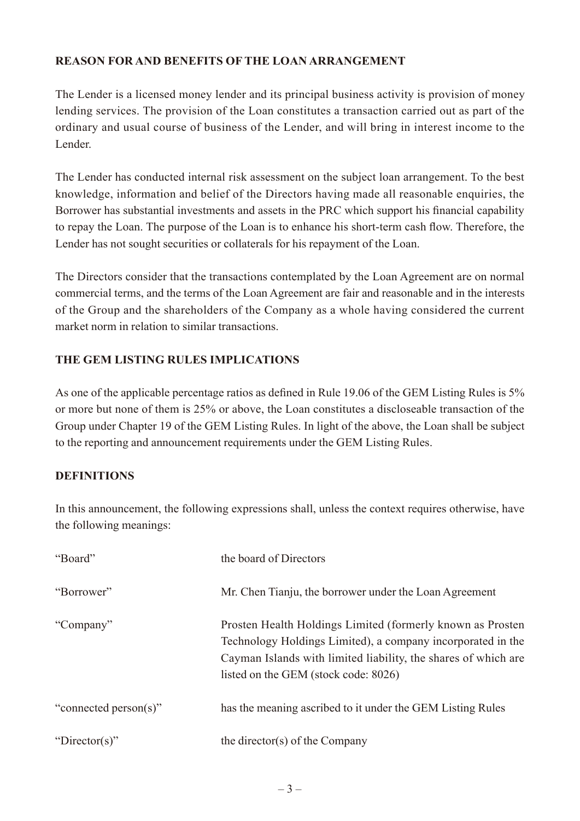# **REASON FOR AND BENEFITS OF THE LOAN ARRANGEMENT**

The Lender is a licensed money lender and its principal business activity is provision of money lending services. The provision of the Loan constitutes a transaction carried out as part of the ordinary and usual course of business of the Lender, and will bring in interest income to the Lender.

The Lender has conducted internal risk assessment on the subject loan arrangement. To the best knowledge, information and belief of the Directors having made all reasonable enquiries, the Borrower has substantial investments and assets in the PRC which support his financial capability to repay the Loan. The purpose of the Loan is to enhance his short-term cash flow. Therefore, the Lender has not sought securities or collaterals for his repayment of the Loan.

The Directors consider that the transactions contemplated by the Loan Agreement are on normal commercial terms, and the terms of the Loan Agreement are fair and reasonable and in the interests of the Group and the shareholders of the Company as a whole having considered the current market norm in relation to similar transactions.

# **THE GEM LISTING RULES IMPLICATIONS**

As one of the applicable percentage ratios as defined in Rule 19.06 of the GEM Listing Rules is 5% or more but none of them is 25% or above, the Loan constitutes a discloseable transaction of the Group under Chapter 19 of the GEM Listing Rules. In light of the above, the Loan shall be subject to the reporting and announcement requirements under the GEM Listing Rules.

### **DEFINITIONS**

In this announcement, the following expressions shall, unless the context requires otherwise, have the following meanings:

| "Board"               | the board of Directors                                                                                                                                                                                                               |
|-----------------------|--------------------------------------------------------------------------------------------------------------------------------------------------------------------------------------------------------------------------------------|
| "Borrower"            | Mr. Chen Tianju, the borrower under the Loan Agreement                                                                                                                                                                               |
| "Company"             | Prosten Health Holdings Limited (formerly known as Prosten)<br>Technology Holdings Limited), a company incorporated in the<br>Cayman Islands with limited liability, the shares of which are<br>listed on the GEM (stock code: 8026) |
| "connected person(s)" | has the meaning ascribed to it under the GEM Listing Rules                                                                                                                                                                           |
| "Director(s)"         | the director(s) of the Company                                                                                                                                                                                                       |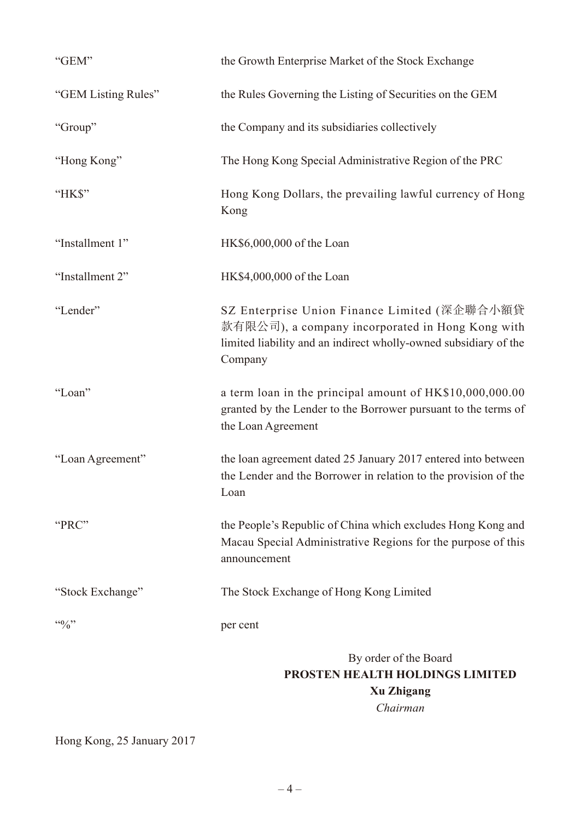| "GEM"                  | the Growth Enterprise Market of the Stock Exchange                                                                                                                              |
|------------------------|---------------------------------------------------------------------------------------------------------------------------------------------------------------------------------|
| "GEM Listing Rules"    | the Rules Governing the Listing of Securities on the GEM                                                                                                                        |
| "Group"                | the Company and its subsidiaries collectively                                                                                                                                   |
| "Hong Kong"            | The Hong Kong Special Administrative Region of the PRC                                                                                                                          |
| "HK\$"                 | Hong Kong Dollars, the prevailing lawful currency of Hong<br>Kong                                                                                                               |
| "Installment 1"        | HK\$6,000,000 of the Loan                                                                                                                                                       |
| "Installment 2"        | HK\$4,000,000 of the Loan                                                                                                                                                       |
| "Lender"               | SZ Enterprise Union Finance Limited (深企聯合小額貸<br>款有限公司), a company incorporated in Hong Kong with<br>limited liability and an indirect wholly-owned subsidiary of the<br>Company |
| "Loan"                 | a term loan in the principal amount of HK\$10,000,000.00<br>granted by the Lender to the Borrower pursuant to the terms of<br>the Loan Agreement                                |
| "Loan Agreement"       | the loan agreement dated 25 January 2017 entered into between<br>the Lender and the Borrower in relation to the provision of the<br>Loan                                        |
| "PRC"                  | the People's Republic of China which excludes Hong Kong and<br>Macau Special Administrative Regions for the purpose of this<br>announcement                                     |
| "Stock Exchange"       | The Stock Exchange of Hong Kong Limited                                                                                                                                         |
| $\mathfrak{so}_{\ell}$ | per cent                                                                                                                                                                        |
|                        | By order of the Board<br>PROSTEN HEALTH HOLDINGS LIMITED<br><b>Xu Zhigang</b><br>Chairman                                                                                       |

Hong Kong, 25 January 2017